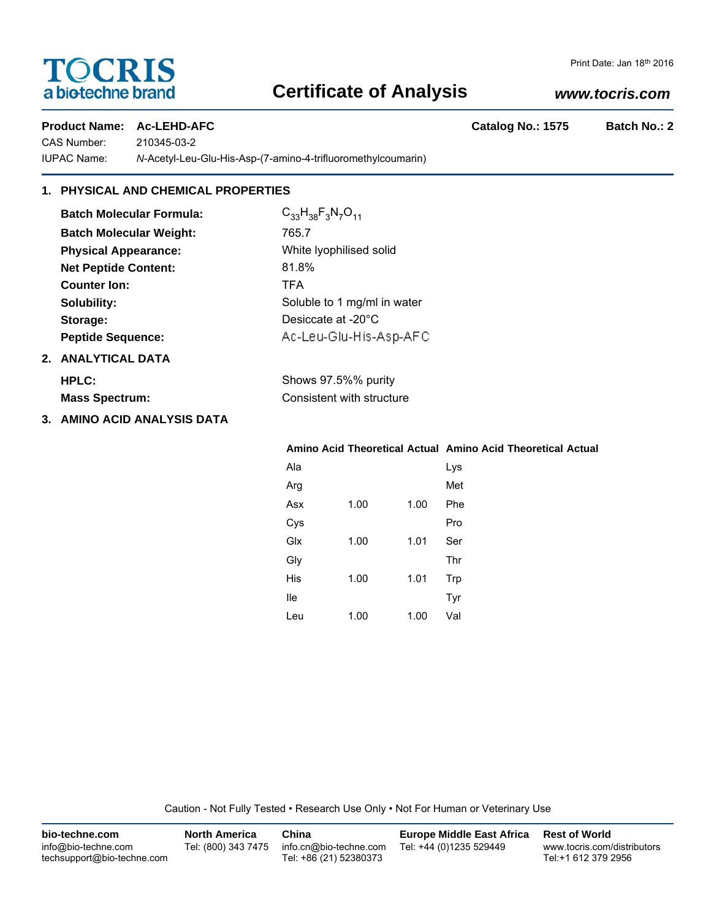# **TOCRIS** a biotechne brand

# **Certificate of Analysis**

### *www.tocris.com*

Product Name: Ac-LEHD-AFC **Catalog No.: 1575** Batch No.: 2

CAS Number: 210345-03-2 IUPAC Name: *N*-Acetyl-Leu-Glu-His-Asp-(7-amino-4-trifluoromethylcoumarin)

## **1. PHYSICAL AND CHEMICAL PROPERTIES**

| <b>Batch Molecular Formula:</b> | $C_{33}H_{38}F_3N_7O_{11}$                |
|---------------------------------|-------------------------------------------|
| <b>Batch Molecular Weight:</b>  | 765.7                                     |
| <b>Physical Appearance:</b>     | White Iyophilised solid                   |
| <b>Net Peptide Content:</b>     | 81.8%                                     |
| <b>Counter Ion:</b>             | <b>TFA</b>                                |
| Solubility:                     | Soluble to 1 mg/ml in water               |
| Storage:                        | Desiccate at -20°C                        |
| <b>Peptide Sequence:</b>        | Ac-Leu-Glu-His-Asp-AFC                    |
| 2. ANALYTICAL DATA              |                                           |
| $\cdots$                        | $\sim$ $\sim$ $\sim$ $\sim$ $\sim$ $\sim$ |

| <b>HPLC:</b>          | Shows 97.5%% purity       |
|-----------------------|---------------------------|
| <b>Mass Spectrum:</b> | Consistent with structure |

**3. AMINO ACID ANALYSIS DATA**

**Mass Spectrum:** 

### **Amino Acid Theoretical Actual Amino Acid Theoretical Actual**

| Ala |      |      | Lys |
|-----|------|------|-----|
| Arg |      |      | Met |
| Asx | 1.00 | 1.00 | Phe |
| Cys |      |      | Pro |
| Glx | 1.00 | 1.01 | Ser |
| Gly |      |      | Thr |
| His | 1.00 | 1.01 | Trp |
| lle |      |      | Tyr |
| Leu | 1.00 | 1.00 | Val |

Caution - Not Fully Tested • Research Use Only • Not For Human or Veterinary Use

| bio-techne.com                                    | <b>North America</b> | China                                            | <b>Europe Middle East Africa</b> | <b>Rest of World</b>                               |
|---------------------------------------------------|----------------------|--------------------------------------------------|----------------------------------|----------------------------------------------------|
| info@bio-techne.com<br>techsupport@bio-techne.com | Tel: (800) 343 7475  | info.cn@bio-techne.com<br>Tel: +86 (21) 52380373 | Tel: +44 (0)1235 529449          | www.tocris.com/distributors<br>Tel:+1 612 379 2956 |